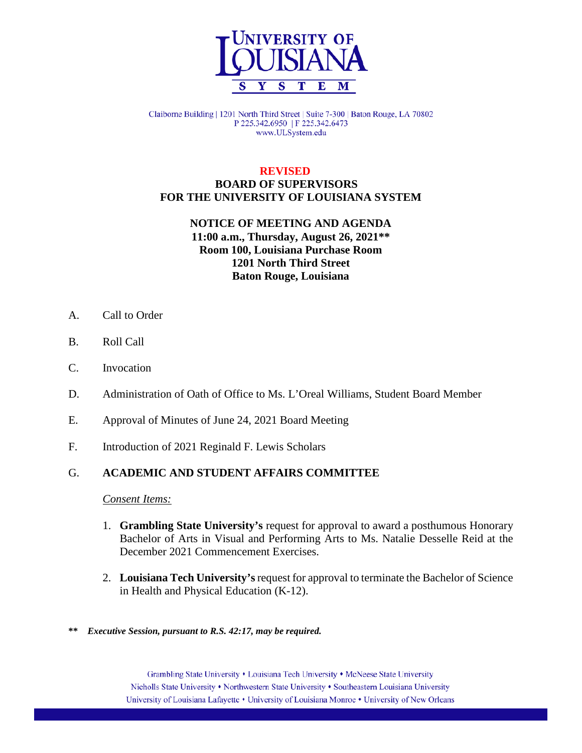

Claiborne Building | 1201 North Third Street | Suite 7-300 | Baton Rouge, LA 70802 P 225.342.6950 | F 225.342.6473 www.ULSystem.edu

# **REVISED BOARD OF SUPERVISORS FOR THE UNIVERSITY OF LOUISIANA SYSTEM**

## **NOTICE OF MEETING AND AGENDA 11:00 a.m., Thursday, August 26, 2021\*\* Room 100, Louisiana Purchase Room 1201 North Third Street Baton Rouge, Louisiana**

- A. Call to Order
- B. Roll Call
- C. Invocation
- D. Administration of Oath of Office to Ms. L'Oreal Williams, Student Board Member
- E. Approval of Minutes of June 24, 2021 Board Meeting
- F. Introduction of 2021 Reginald F. Lewis Scholars

# G. **ACADEMIC AND STUDENT AFFAIRS COMMITTEE**

*Consent Items:*

- 1. **Grambling State University's** request for approval to award a posthumous Honorary Bachelor of Arts in Visual and Performing Arts to Ms. Natalie Desselle Reid at the December 2021 Commencement Exercises.
- 2. **Louisiana Tech University's** request for approval to terminate the Bachelor of Science in Health and Physical Education (K-12).
- **\*\*** *Executive Session, pursuant to R.S. 42:17, may be required.*

Grambling State University • Louisiana Tech University • McNeese State University Nicholls State University • Northwestern State University • Southeastern Louisiana University University of Louisiana Lafayette • University of Louisiana Monroe • University of New Orleans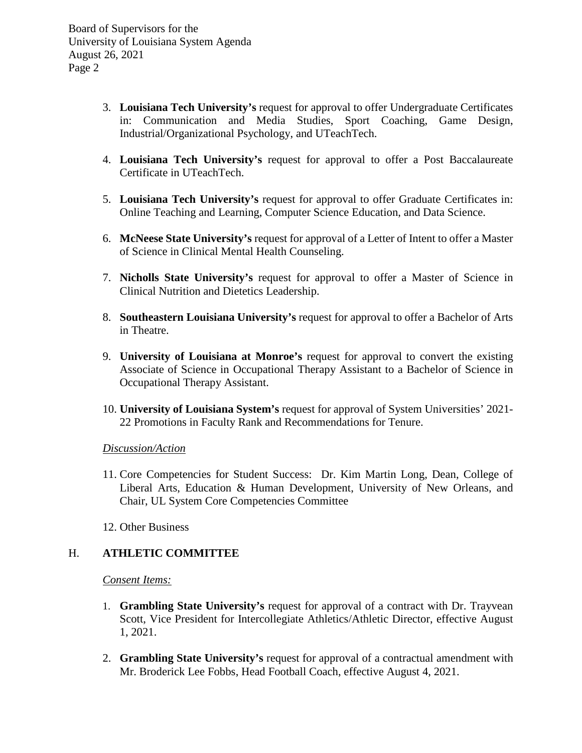- 3. **Louisiana Tech University's** request for approval to offer Undergraduate Certificates in: Communication and Media Studies, Sport Coaching, Game Design, Industrial/Organizational Psychology, and UTeachTech.
- 4. **Louisiana Tech University's** request for approval to offer a Post Baccalaureate Certificate in UTeachTech.
- 5. **Louisiana Tech University's** request for approval to offer Graduate Certificates in: Online Teaching and Learning, Computer Science Education, and Data Science.
- 6. **McNeese State University's** request for approval of a Letter of Intent to offer a Master of Science in Clinical Mental Health Counseling.
- 7. **Nicholls State University's** request for approval to offer a Master of Science in Clinical Nutrition and Dietetics Leadership.
- 8. **Southeastern Louisiana University's** request for approval to offer a Bachelor of Arts in Theatre.
- 9. **University of Louisiana at Monroe's** request for approval to convert the existing Associate of Science in Occupational Therapy Assistant to a Bachelor of Science in Occupational Therapy Assistant.
- 10. **University of Louisiana System's** request for approval of System Universities' 2021- 22 Promotions in Faculty Rank and Recommendations for Tenure.

### *Discussion/Action*

- 11. Core Competencies for Student Success: Dr. Kim Martin Long, Dean, College of Liberal Arts, Education & Human Development, University of New Orleans, and Chair, UL System Core Competencies Committee
- 12. Other Business

### H. **ATHLETIC COMMITTEE**

### *Consent Items:*

- 1. **Grambling State University's** request for approval of a contract with Dr. Trayvean Scott, Vice President for Intercollegiate Athletics/Athletic Director, effective August 1, 2021.
- 2. **Grambling State University's** request for approval of a contractual amendment with Mr. Broderick Lee Fobbs, Head Football Coach, effective August 4, 2021.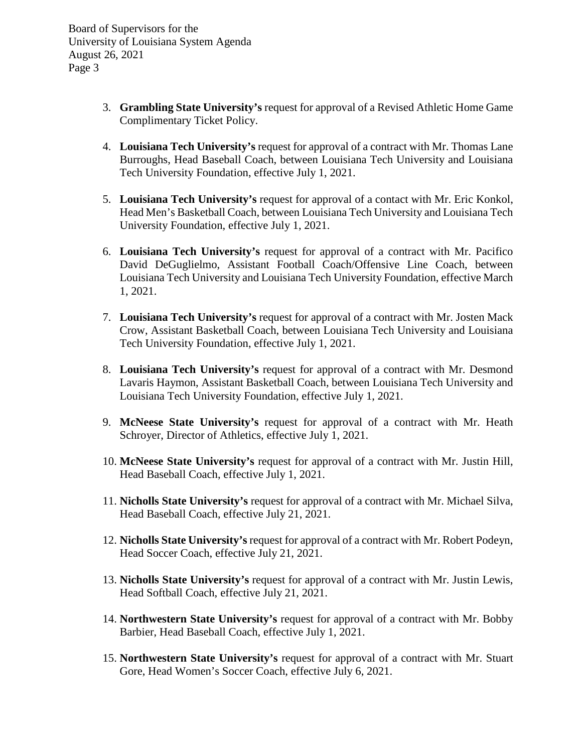- 3. **Grambling State University's** request for approval of a Revised Athletic Home Game Complimentary Ticket Policy.
- 4. **Louisiana Tech University's** request for approval of a contract with Mr. Thomas Lane Burroughs, Head Baseball Coach, between Louisiana Tech University and Louisiana Tech University Foundation, effective July 1, 2021.
- 5. **Louisiana Tech University's** request for approval of a contact with Mr. Eric Konkol, Head Men's Basketball Coach, between Louisiana Tech University and Louisiana Tech University Foundation, effective July 1, 2021.
- 6. **Louisiana Tech University's** request for approval of a contract with Mr. Pacifico David DeGuglielmo, Assistant Football Coach/Offensive Line Coach, between Louisiana Tech University and Louisiana Tech University Foundation, effective March 1, 2021.
- 7. **Louisiana Tech University's** request for approval of a contract with Mr. Josten Mack Crow, Assistant Basketball Coach, between Louisiana Tech University and Louisiana Tech University Foundation, effective July 1, 2021.
- 8. **Louisiana Tech University's** request for approval of a contract with Mr. Desmond Lavaris Haymon, Assistant Basketball Coach, between Louisiana Tech University and Louisiana Tech University Foundation, effective July 1, 2021.
- 9. **McNeese State University's** request for approval of a contract with Mr. Heath Schroyer, Director of Athletics, effective July 1, 2021.
- 10. **McNeese State University's** request for approval of a contract with Mr. Justin Hill, Head Baseball Coach, effective July 1, 2021.
- 11. **Nicholls State University's** request for approval of a contract with Mr. Michael Silva, Head Baseball Coach, effective July 21, 2021.
- 12. **Nicholls State University's** request for approval of a contract with Mr. Robert Podeyn, Head Soccer Coach, effective July 21, 2021.
- 13. **Nicholls State University's** request for approval of a contract with Mr. Justin Lewis, Head Softball Coach, effective July 21, 2021.
- 14. **Northwestern State University's** request for approval of a contract with Mr. Bobby Barbier, Head Baseball Coach, effective July 1, 2021.
- 15. **Northwestern State University's** request for approval of a contract with Mr. Stuart Gore, Head Women's Soccer Coach, effective July 6, 2021.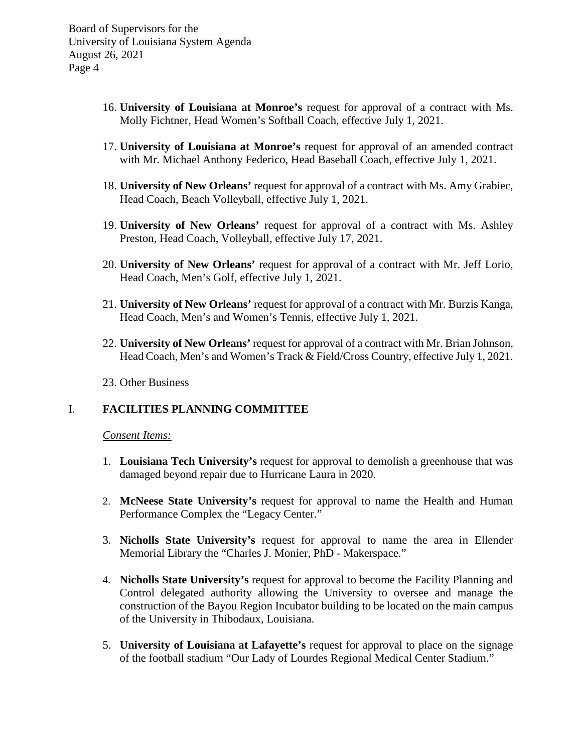- 16. **University of Louisiana at Monroe's** request for approval of a contract with Ms. Molly Fichtner, Head Women's Softball Coach, effective July 1, 2021.
- 17. **University of Louisiana at Monroe's** request for approval of an amended contract with Mr. Michael Anthony Federico, Head Baseball Coach, effective July 1, 2021.
- 18. **University of New Orleans'** request for approval of a contract with Ms. Amy Grabiec, Head Coach, Beach Volleyball, effective July 1, 2021.
- 19. **University of New Orleans'** request for approval of a contract with Ms. Ashley Preston, Head Coach, Volleyball, effective July 17, 2021.
- 20. **University of New Orleans'** request for approval of a contract with Mr. Jeff Lorio, Head Coach, Men's Golf, effective July 1, 2021.
- 21. **University of New Orleans'** request for approval of a contract with Mr. Burzis Kanga, Head Coach, Men's and Women's Tennis, effective July 1, 2021.
- 22. **University of New Orleans'** request for approval of a contract with Mr. Brian Johnson, Head Coach, Men's and Women's Track & Field/Cross Country, effective July 1, 2021.
- 23. Other Business

### I. **FACILITIES PLANNING COMMITTEE**

#### *Consent Items:*

- 1. **Louisiana Tech University's** request for approval to demolish a greenhouse that was damaged beyond repair due to Hurricane Laura in 2020.
- 2. **McNeese State University's** request for approval to name the Health and Human Performance Complex the "Legacy Center."
- 3. **Nicholls State University's** request for approval to name the area in Ellender Memorial Library the "Charles J. Monier, PhD - Makerspace."
- 4. **Nicholls State University's** request for approval to become the Facility Planning and Control delegated authority allowing the University to oversee and manage the construction of the Bayou Region Incubator building to be located on the main campus of the University in Thibodaux, Louisiana.
- 5. **University of Louisiana at Lafayette's** request for approval to place on the signage of the football stadium "Our Lady of Lourdes Regional Medical Center Stadium."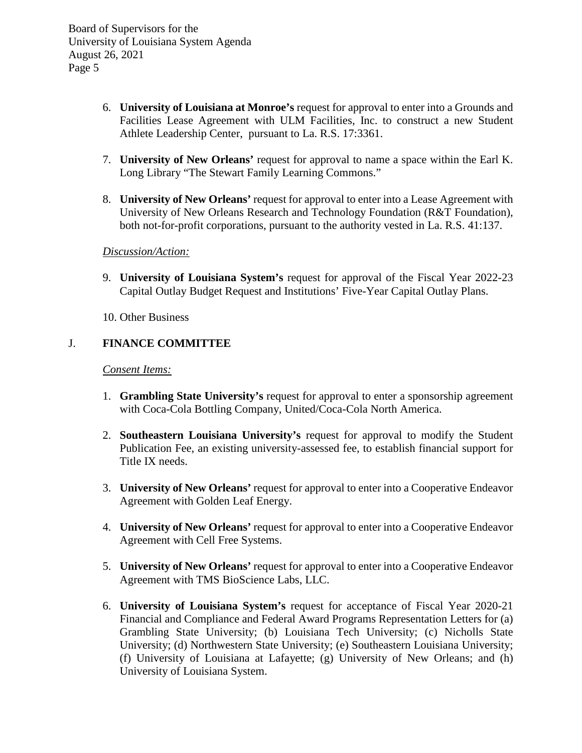- 6. **University of Louisiana at Monroe's** request for approval to enter into a Grounds and Facilities Lease Agreement with ULM Facilities, Inc. to construct a new Student Athlete Leadership Center, pursuant to La. R.S. 17:3361.
- 7. **University of New Orleans'** request for approval to name a space within the Earl K. Long Library "The Stewart Family Learning Commons."
- 8. **University of New Orleans'** request for approval to enter into a Lease Agreement with University of New Orleans Research and Technology Foundation (R&T Foundation), both not-for-profit corporations, pursuant to the authority vested in La. R.S. 41:137.

### *Discussion/Action:*

9. **University of Louisiana System's** request for approval of the Fiscal Year 2022-23 Capital Outlay Budget Request and Institutions' Five-Year Capital Outlay Plans.

10. Other Business

### J. **FINANCE COMMITTEE**

#### *Consent Items:*

- 1. **Grambling State University's** request for approval to enter a sponsorship agreement with Coca-Cola Bottling Company, United/Coca-Cola North America.
- 2. **Southeastern Louisiana University's** request for approval to modify the Student Publication Fee, an existing university-assessed fee, to establish financial support for Title IX needs.
- 3. **University of New Orleans'** request for approval to enter into a Cooperative Endeavor Agreement with Golden Leaf Energy.
- 4. **University of New Orleans'** request for approval to enter into a Cooperative Endeavor Agreement with Cell Free Systems.
- 5. **University of New Orleans'** request for approval to enter into a Cooperative Endeavor Agreement with TMS BioScience Labs, LLC.
- 6. **University of Louisiana System's** request for acceptance of Fiscal Year 2020-21 Financial and Compliance and Federal Award Programs Representation Letters for (a) Grambling State University; (b) Louisiana Tech University; (c) Nicholls State University; (d) Northwestern State University; (e) Southeastern Louisiana University; (f) University of Louisiana at Lafayette; (g) University of New Orleans; and (h) University of Louisiana System.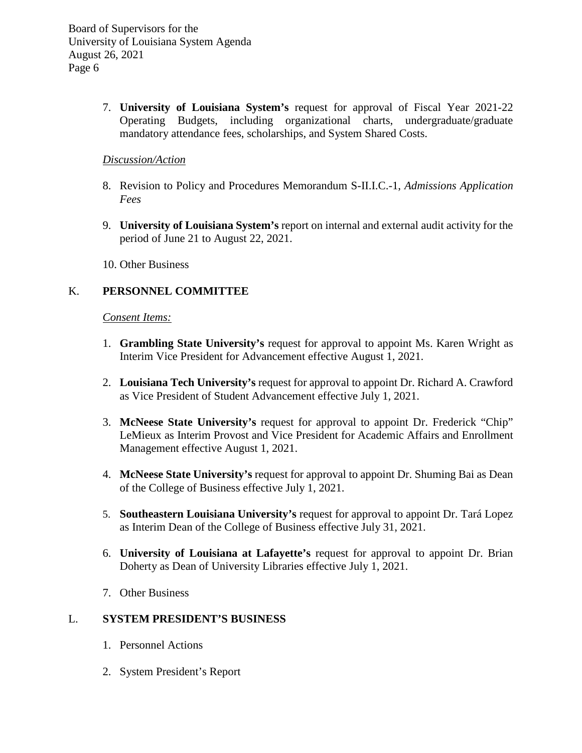> 7. **University of Louisiana System's** request for approval of Fiscal Year 2021-22 Operating Budgets, including organizational charts, undergraduate/graduate mandatory attendance fees, scholarships, and System Shared Costs.

### *Discussion/Action*

- 8. Revision to Policy and Procedures Memorandum S-II.I.C.-1, *Admissions Application Fees*
- 9. **University of Louisiana System's** report on internal and external audit activity for the period of June 21 to August 22, 2021.
- 10. Other Business

# K. **PERSONNEL COMMITTEE**

### *Consent Items:*

- 1. **Grambling State University's** request for approval to appoint Ms. Karen Wright as Interim Vice President for Advancement effective August 1, 2021.
- 2. **Louisiana Tech University's** request for approval to appoint Dr. Richard A. Crawford as Vice President of Student Advancement effective July 1, 2021.
- 3. **McNeese State University's** request for approval to appoint Dr. Frederick "Chip" LeMieux as Interim Provost and Vice President for Academic Affairs and Enrollment Management effective August 1, 2021.
- 4. **McNeese State University's** request for approval to appoint Dr. Shuming Bai as Dean of the College of Business effective July 1, 2021.
- 5. **Southeastern Louisiana University's** request for approval to appoint Dr. Tará Lopez as Interim Dean of the College of Business effective July 31, 2021.
- 6. **University of Louisiana at Lafayette's** request for approval to appoint Dr. Brian Doherty as Dean of University Libraries effective July 1, 2021.
- 7. Other Business

# L. **SYSTEM PRESIDENT'S BUSINESS**

- 1. Personnel Actions
- 2. System President's Report